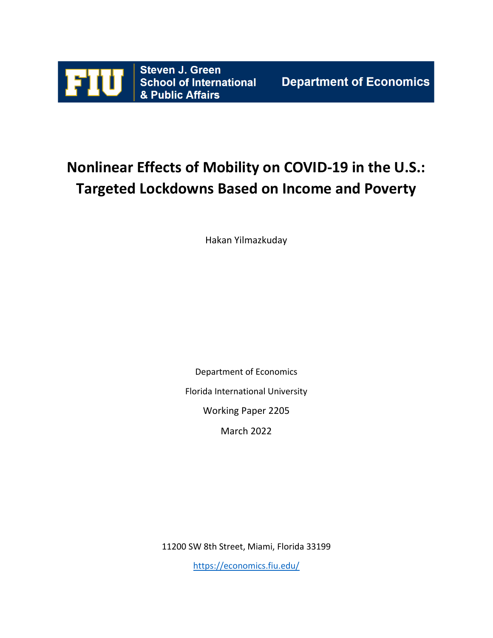

# **Nonlinear Effects of Mobility on COVID-19 in the U.S.: Targeted Lockdowns Based on Income and Poverty**

Hakan Yilmazkuday

Department of Economics Florida International University

Working Paper 2205

March 2022

11200 SW 8th Street, Miami, Florida 33199

<https://economics.fiu.edu/>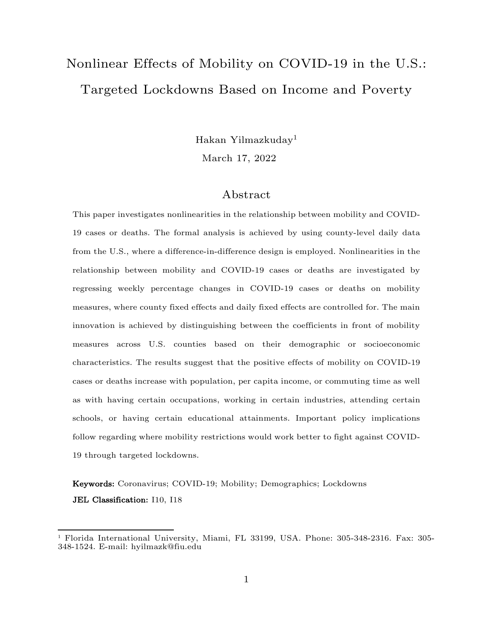# Nonlinear Effects of Mobility on COVID-19 in the U.S.: Targeted Lockdowns Based on Income and Poverty

Hakan Yilmazkuday<sup>1</sup>

March 17, 2022

#### Abstract

This paper investigates nonlinearities in the relationship between mobility and COVID-19 cases or deaths. The formal analysis is achieved by using county-level daily data from the U.S., where a difference-in-difference design is employed. Nonlinearities in the relationship between mobility and COVID-19 cases or deaths are investigated by regressing weekly percentage changes in COVID-19 cases or deaths on mobility measures, where county fixed effects and daily fixed effects are controlled for. The main innovation is achieved by distinguishing between the coefficients in front of mobility measures across U.S. counties based on their demographic or socioeconomic characteristics. The results suggest that the positive effects of mobility on COVID-19 cases or deaths increase with population, per capita income, or commuting time as well as with having certain occupations, working in certain industries, attending certain schools, or having certain educational attainments. Important policy implications follow regarding where mobility restrictions would work better to fight against COVID-19 through targeted lockdowns.

Keywords: Coronavirus; COVID-19; Mobility; Demographics; Lockdowns JEL Classification: I10, I18

<sup>1</sup> Florida International University, Miami, FL 33199, USA. Phone: 305-348-2316. Fax: 305- 348-1524. E-mail: hyilmazk@fiu.edu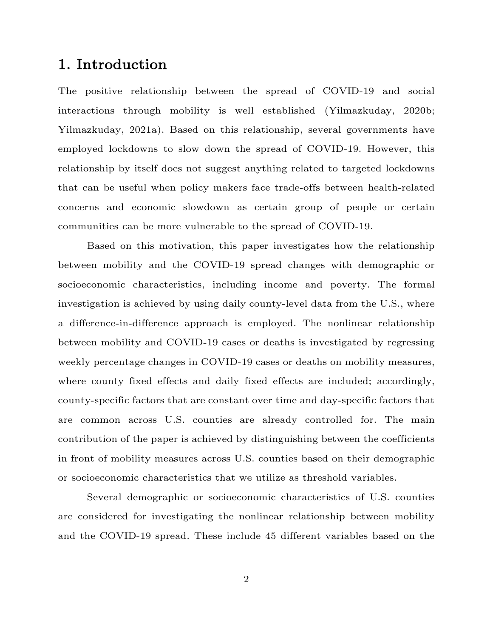# 1. Introduction

The positive relationship between the spread of COVID-19 and social interactions through mobility is well established (Yilmazkuday, 2020b; Yilmazkuday, 2021a). Based on this relationship, several governments have employed lockdowns to slow down the spread of COVID-19. However, this relationship by itself does not suggest anything related to targeted lockdowns that can be useful when policy makers face trade-offs between health-related concerns and economic slowdown as certain group of people or certain communities can be more vulnerable to the spread of COVID-19.

Based on this motivation, this paper investigates how the relationship between mobility and the COVID-19 spread changes with demographic or socioeconomic characteristics, including income and poverty. The formal investigation is achieved by using daily county-level data from the U.S., where a difference-in-difference approach is employed. The nonlinear relationship between mobility and COVID-19 cases or deaths is investigated by regressing weekly percentage changes in COVID-19 cases or deaths on mobility measures, where county fixed effects and daily fixed effects are included; accordingly, county-specific factors that are constant over time and day-specific factors that are common across U.S. counties are already controlled for. The main contribution of the paper is achieved by distinguishing between the coefficients in front of mobility measures across U.S. counties based on their demographic or socioeconomic characteristics that we utilize as threshold variables.

Several demographic or socioeconomic characteristics of U.S. counties are considered for investigating the nonlinear relationship between mobility and the COVID-19 spread. These include 45 different variables based on the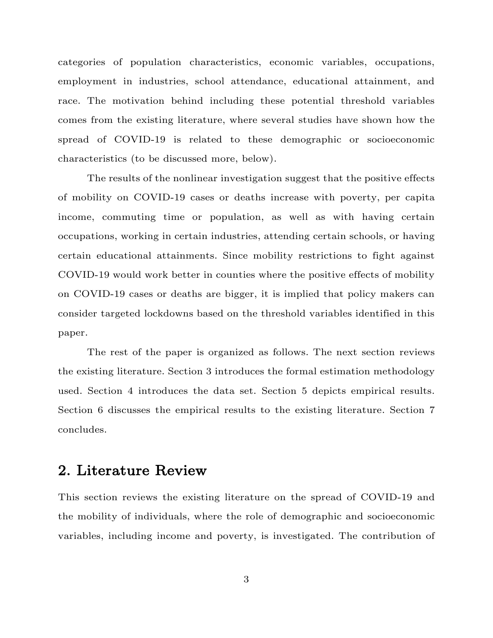categories of population characteristics, economic variables, occupations, employment in industries, school attendance, educational attainment, and race. The motivation behind including these potential threshold variables comes from the existing literature, where several studies have shown how the spread of COVID-19 is related to these demographic or socioeconomic characteristics (to be discussed more, below).

The results of the nonlinear investigation suggest that the positive effects of mobility on COVID-19 cases or deaths increase with poverty, per capita income, commuting time or population, as well as with having certain occupations, working in certain industries, attending certain schools, or having certain educational attainments. Since mobility restrictions to fight against COVID-19 would work better in counties where the positive effects of mobility on COVID-19 cases or deaths are bigger, it is implied that policy makers can consider targeted lockdowns based on the threshold variables identified in this paper.

The rest of the paper is organized as follows. The next section reviews the existing literature. Section 3 introduces the formal estimation methodology used. Section 4 introduces the data set. Section 5 depicts empirical results. Section 6 discusses the empirical results to the existing literature. Section 7 concludes.

# 2. Literature Review

This section reviews the existing literature on the spread of COVID-19 and the mobility of individuals, where the role of demographic and socioeconomic variables, including income and poverty, is investigated. The contribution of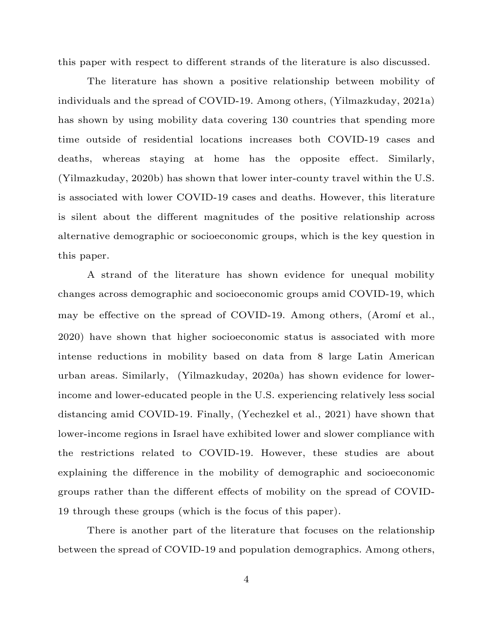this paper with respect to different strands of the literature is also discussed.

The literature has shown a positive relationship between mobility of individuals and the spread of COVID-19. Among others, (Yilmazkuday, 2021a) has shown by using mobility data covering 130 countries that spending more time outside of residential locations increases both COVID-19 cases and deaths, whereas staying at home has the opposite effect. Similarly, (Yilmazkuday, 2020b) has shown that lower inter-county travel within the U.S. is associated with lower COVID-19 cases and deaths. However, this literature is silent about the different magnitudes of the positive relationship across alternative demographic or socioeconomic groups, which is the key question in this paper.

A strand of the literature has shown evidence for unequal mobility changes across demographic and socioeconomic groups amid COVID-19, which may be effective on the spread of COVID-19. Among others, (Aromí et al., 2020) have shown that higher socioeconomic status is associated with more intense reductions in mobility based on data from 8 large Latin American urban areas. Similarly, (Yilmazkuday, 2020a) has shown evidence for lowerincome and lower-educated people in the U.S. experiencing relatively less social distancing amid COVID-19. Finally, (Yechezkel et al., 2021) have shown that lower-income regions in Israel have exhibited lower and slower compliance with the restrictions related to COVID-19. However, these studies are about explaining the difference in the mobility of demographic and socioeconomic groups rather than the different effects of mobility on the spread of COVID-19 through these groups (which is the focus of this paper).

There is another part of the literature that focuses on the relationship between the spread of COVID-19 and population demographics. Among others,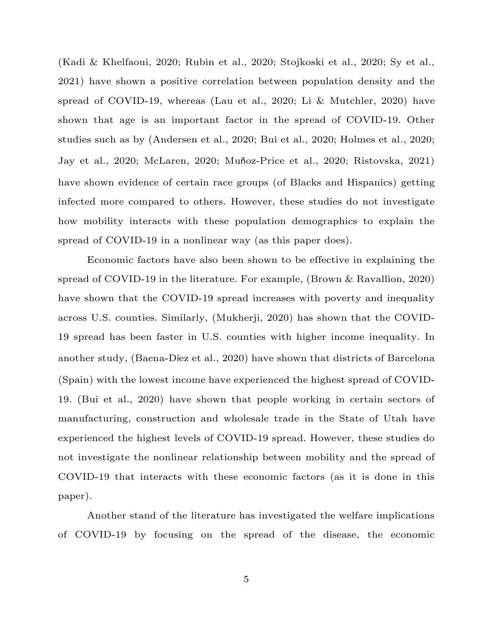(Kadi & Khelfaoui, 2020; Rubin et al., 2020; Stojkoski et al., 2020; Sy et al., 2021) have shown a positive correlation between population density and the spread of COVID-19, whereas (Lau et al., 2020; Li & Mutchler, 2020) have shown that age is an important factor in the spread of COVID-19. Other studies such as by (Andersen et al., 2020; Bui et al., 2020; Holmes et al., 2020; Jay et al., 2020; McLaren, 2020; Muñoz-Price et al., 2020; Ristovska, 2021) have shown evidence of certain race groups (of Blacks and Hispanics) getting infected more compared to others. However, these studies do not investigate how mobility interacts with these population demographics to explain the spread of COVID-19 in a nonlinear way (as this paper does).

Economic factors have also been shown to be effective in explaining the spread of COVID-19 in the literature. For example, (Brown & Ravallion, 2020) have shown that the COVID-19 spread increases with poverty and inequality across U.S. counties. Similarly, (Mukherji, 2020) has shown that the COVID-19 spread has been faster in U.S. counties with higher income inequality. In another study, (Baena-Díez et al., 2020) have shown that districts of Barcelona (Spain) with the lowest income have experienced the highest spread of COVID-19. (Bui et al., 2020) have shown that people working in certain sectors of manufacturing, construction and wholesale trade in the State of Utah have experienced the highest levels of COVID-19 spread. However, these studies do not investigate the nonlinear relationship between mobility and the spread of COVID-19 that interacts with these economic factors (as it is done in this paper).

Another stand of the literature has investigated the welfare implications of COVID-19 by focusing on the spread of the disease, the economic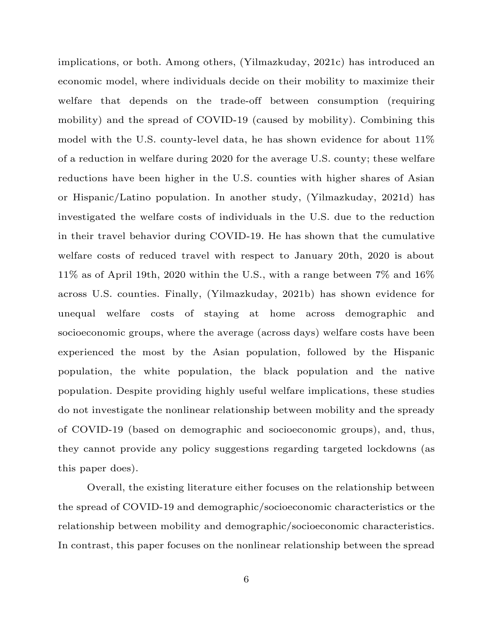implications, or both. Among others, (Yilmazkuday, 2021c) has introduced an economic model, where individuals decide on their mobility to maximize their welfare that depends on the trade-off between consumption (requiring mobility) and the spread of COVID-19 (caused by mobility). Combining this model with the U.S. county-level data, he has shown evidence for about 11% of a reduction in welfare during 2020 for the average U.S. county; these welfare reductions have been higher in the U.S. counties with higher shares of Asian or Hispanic/Latino population. In another study, (Yilmazkuday, 2021d) has investigated the welfare costs of individuals in the U.S. due to the reduction in their travel behavior during COVID-19. He has shown that the cumulative welfare costs of reduced travel with respect to January 20th, 2020 is about 11% as of April 19th, 2020 within the U.S., with a range between 7% and 16% across U.S. counties. Finally, (Yilmazkuday, 2021b) has shown evidence for unequal welfare costs of staying at home across demographic and socioeconomic groups, where the average (across days) welfare costs have been experienced the most by the Asian population, followed by the Hispanic population, the white population, the black population and the native population. Despite providing highly useful welfare implications, these studies do not investigate the nonlinear relationship between mobility and the spready of COVID-19 (based on demographic and socioeconomic groups), and, thus, they cannot provide any policy suggestions regarding targeted lockdowns (as this paper does).

Overall, the existing literature either focuses on the relationship between the spread of COVID-19 and demographic/socioeconomic characteristics or the relationship between mobility and demographic/socioeconomic characteristics. In contrast, this paper focuses on the nonlinear relationship between the spread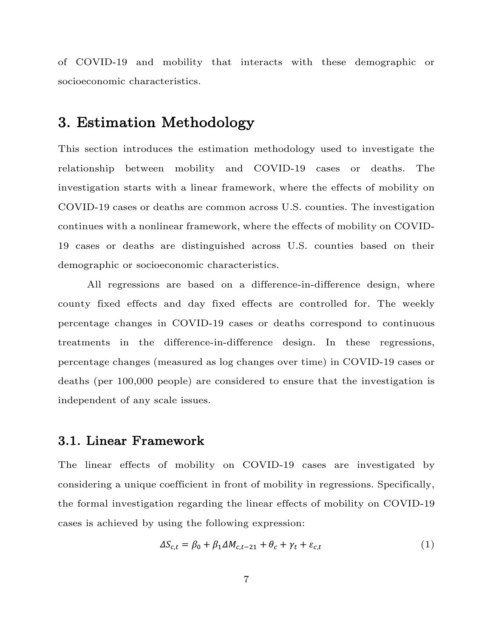of COVID-19 and mobility that interacts with these demographic or socioeconomic characteristics.

# 3. Estimation Methodology

This section introduces the estimation methodology used to investigate the relationship between mobility and COVID-19 cases or deaths. The investigation starts with a linear framework, where the effects of mobility on COVID-19 cases or deaths are common across U.S. counties. The investigation continues with a nonlinear framework, where the effects of mobility on COVID-19 cases or deaths are distinguished across U.S. counties based on their demographic or socioeconomic characteristics.

All regressions are based on a difference-in-difference design, where county fixed effects and day fixed effects are controlled for. The weekly percentage changes in COVID-19 cases or deaths correspond to continuous treatments in the difference-in-difference design. In these regressions, percentage changes (measured as log changes over time) in COVID-19 cases or deaths (per 100,000 people) are considered to ensure that the investigation is independent of any scale issues.

#### 3.1. Linear Framework

The linear effects of mobility on COVID-19 cases are investigated by considering a unique coefficient in front of mobility in regressions. Specifically, the formal investigation regarding the linear effects of mobility on COVID-19 cases is achieved by using the following expression:

$$
\Delta S_{c,t} = \beta_0 + \beta_1 \Delta M_{c,t-21} + \theta_c + \gamma_t + \varepsilon_{c,t} \tag{1}
$$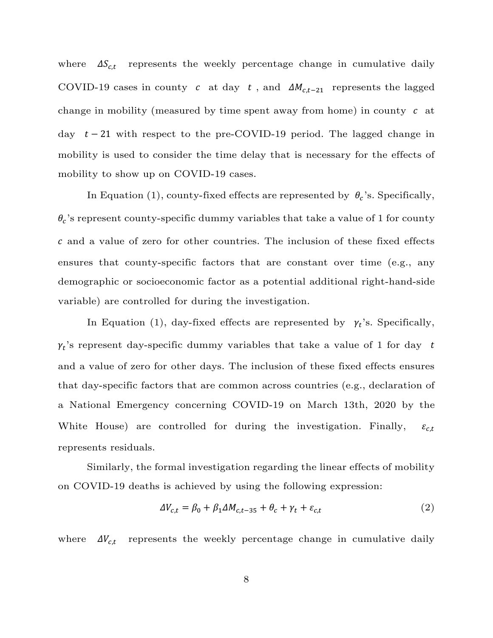where  $\Delta S_{c,t}$  represents the weekly percentage change in cumulative daily COVID-19 cases in county c at day t, and  $\Delta M_{c,t-21}$  represents the lagged change in mobility (measured by time spent away from home) in county  $c$  at day  $t - 21$  with respect to the pre-COVID-19 period. The lagged change in mobility is used to consider the time delay that is necessary for the effects of mobility to show up on COVID-19 cases.

In Equation (1), county-fixed effects are represented by  $\theta_c$ 's. Specifically,  $\theta_c$ 's represent county-specific dummy variables that take a value of  $1$  for county and a value of zero for other countries. The inclusion of these fixed effects ensures that county-specific factors that are constant over time (e.g., any demographic or socioeconomic factor as a potential additional right-hand-side variable) are controlled for during the investigation.

In Equation (1), day-fixed effects are represented by  $\gamma_t$ 's. Specifically,  $\gamma_t$ 's represent day-specific dummy variables that take a value of 1 for day t and a value of zero for other days. The inclusion of these fixed effects ensures that day-specific factors that are common across countries (e.g., declaration of a National Emergency concerning COVID-19 on March 13th, 2020 by the White House) are controlled for during the investigation. Finally,  $\varepsilon_{c,t}$ represents residuals.

Similarly, the formal investigation regarding the linear effects of mobility on COVID-19 deaths is achieved by using the following expression:

$$
\Delta V_{c,t} = \beta_0 + \beta_1 \Delta M_{c,t-35} + \theta_c + \gamma_t + \varepsilon_{c,t} \tag{2}
$$

where  $\Delta V_{c,t}$  represents the weekly percentage change in cumulative daily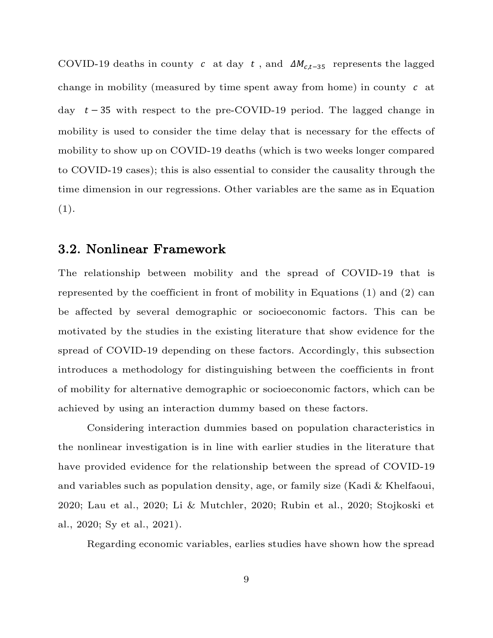COVID-19 deaths in county c at day t, and  $\Delta M_{c,t-35}$  represents the lagged change in mobility (measured by time spent away from home) in county  $c$  at day  $t - 35$  with respect to the pre-COVID-19 period. The lagged change in mobility is used to consider the time delay that is necessary for the effects of mobility to show up on COVID-19 deaths (which is two weeks longer compared to COVID-19 cases); this is also essential to consider the causality through the time dimension in our regressions. Other variables are the same as in Equation  $(1).$ 

### 3.2. Nonlinear Framework

The relationship between mobility and the spread of COVID-19 that is represented by the coefficient in front of mobility in Equations (1) and (2) can be affected by several demographic or socioeconomic factors. This can be motivated by the studies in the existing literature that show evidence for the spread of COVID-19 depending on these factors. Accordingly, this subsection introduces a methodology for distinguishing between the coefficients in front of mobility for alternative demographic or socioeconomic factors, which can be achieved by using an interaction dummy based on these factors.

Considering interaction dummies based on population characteristics in the nonlinear investigation is in line with earlier studies in the literature that have provided evidence for the relationship between the spread of COVID-19 and variables such as population density, age, or family size (Kadi & Khelfaoui, 2020; Lau et al., 2020; Li & Mutchler, 2020; Rubin et al., 2020; Stojkoski et al., 2020; Sy et al., 2021).

Regarding economic variables, earlies studies have shown how the spread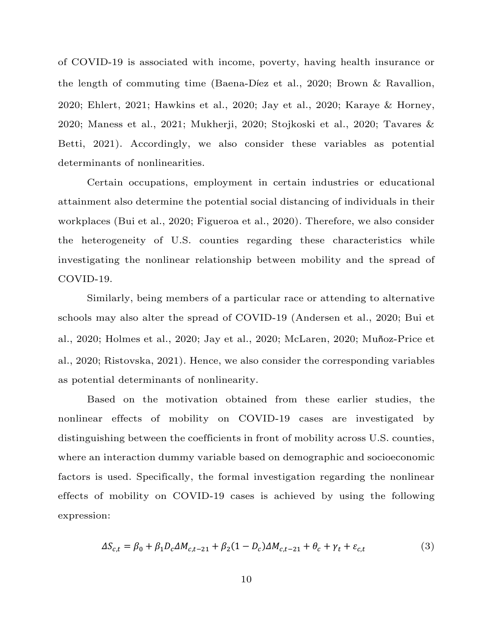of COVID-19 is associated with income, poverty, having health insurance or the length of commuting time (Baena-Díez et al., 2020; Brown & Ravallion, 2020; Ehlert, 2021; Hawkins et al., 2020; Jay et al., 2020; Karaye & Horney, 2020; Maness et al., 2021; Mukherji, 2020; Stojkoski et al., 2020; Tavares & Betti, 2021). Accordingly, we also consider these variables as potential determinants of nonlinearities.

Certain occupations, employment in certain industries or educational attainment also determine the potential social distancing of individuals in their workplaces (Bui et al., 2020; Figueroa et al., 2020). Therefore, we also consider the heterogeneity of U.S. counties regarding these characteristics while investigating the nonlinear relationship between mobility and the spread of COVID-19.

Similarly, being members of a particular race or attending to alternative schools may also alter the spread of COVID-19 (Andersen et al., 2020; Bui et al., 2020; Holmes et al., 2020; Jay et al., 2020; McLaren, 2020; Muñoz-Price et al., 2020; Ristovska, 2021). Hence, we also consider the corresponding variables as potential determinants of nonlinearity.

Based on the motivation obtained from these earlier studies, the nonlinear effects of mobility on COVID-19 cases are investigated by distinguishing between the coefficients in front of mobility across U.S. counties, where an interaction dummy variable based on demographic and socioeconomic factors is used. Specifically, the formal investigation regarding the nonlinear effects of mobility on COVID-19 cases is achieved by using the following expression:

$$
\Delta S_{c,t} = \beta_0 + \beta_1 D_c \Delta M_{c,t-21} + \beta_2 (1 - D_c) \Delta M_{c,t-21} + \theta_c + \gamma_t + \varepsilon_{c,t}
$$
(3)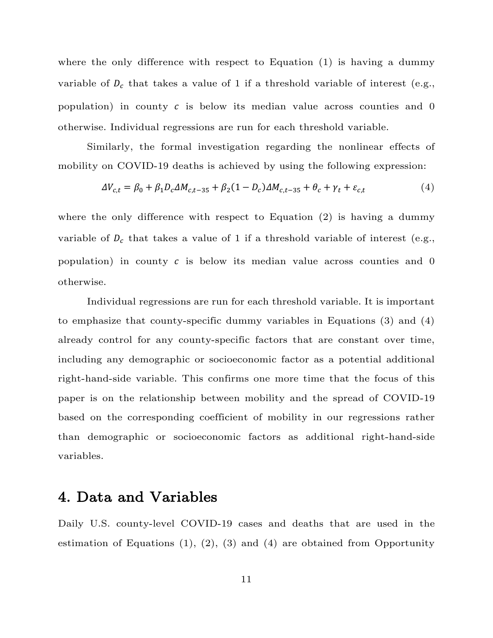where the only difference with respect to Equation (1) is having a dummy variable of  $D_c$  that takes a value of 1 if a threshold variable of interest (e.g., population) in county  $c$  is below its median value across counties and 0 otherwise. Individual regressions are run for each threshold variable.

Similarly, the formal investigation regarding the nonlinear effects of mobility on COVID-19 deaths is achieved by using the following expression:

$$
\Delta V_{c,t} = \beta_0 + \beta_1 D_c \Delta M_{c,t-35} + \beta_2 (1 - D_c) \Delta M_{c,t-35} + \theta_c + \gamma_t + \varepsilon_{c,t}
$$
(4)

where the only difference with respect to Equation (2) is having a dummy variable of  $D_c$  that takes a value of 1 if a threshold variable of interest (e.g., population) in county  $c$  is below its median value across counties and 0 otherwise.

Individual regressions are run for each threshold variable. It is important to emphasize that county-specific dummy variables in Equations (3) and (4) already control for any county-specific factors that are constant over time, including any demographic or socioeconomic factor as a potential additional right-hand-side variable. This confirms one more time that the focus of this paper is on the relationship between mobility and the spread of COVID-19 based on the corresponding coefficient of mobility in our regressions rather than demographic or socioeconomic factors as additional right-hand-side variables.

## 4. Data and Variables

Daily U.S. county-level COVID-19 cases and deaths that are used in the estimation of Equations  $(1), (2), (3)$  and  $(4)$  are obtained from Opportunity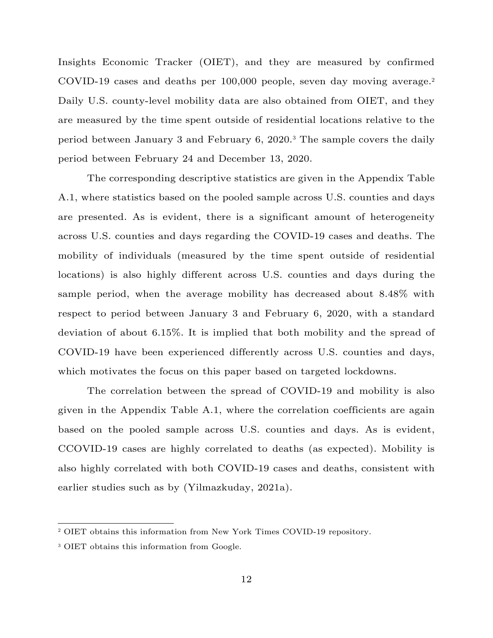Insights Economic Tracker (OIET), and they are measured by confirmed COVID-19 cases and deaths per 100,000 people, seven day moving average.<sup>2</sup> Daily U.S. county-level mobility data are also obtained from OIET, and they are measured by the time spent outside of residential locations relative to the period between January 3 and February 6, 2020.<sup>3</sup> The sample covers the daily period between February 24 and December 13, 2020.

The corresponding descriptive statistics are given in the Appendix Table A.1, where statistics based on the pooled sample across U.S. counties and days are presented. As is evident, there is a significant amount of heterogeneity across U.S. counties and days regarding the COVID-19 cases and deaths. The mobility of individuals (measured by the time spent outside of residential locations) is also highly different across U.S. counties and days during the sample period, when the average mobility has decreased about 8.48% with respect to period between January 3 and February 6, 2020, with a standard deviation of about 6.15%. It is implied that both mobility and the spread of COVID-19 have been experienced differently across U.S. counties and days, which motivates the focus on this paper based on targeted lockdowns.

The correlation between the spread of COVID-19 and mobility is also given in the Appendix Table A.1, where the correlation coefficients are again based on the pooled sample across U.S. counties and days. As is evident, CCOVID-19 cases are highly correlated to deaths (as expected). Mobility is also highly correlated with both COVID-19 cases and deaths, consistent with earlier studies such as by (Yilmazkuday, 2021a).

<sup>2</sup> OIET obtains this information from New York Times COVID-19 repository.

<sup>&</sup>lt;sup>3</sup> OIET obtains this information from Google.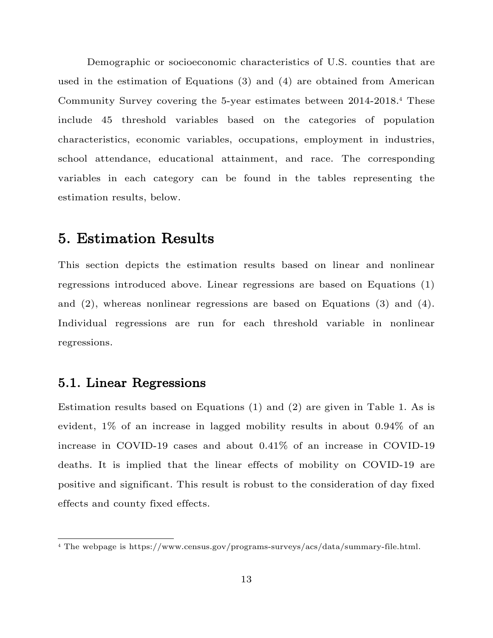Demographic or socioeconomic characteristics of U.S. counties that are used in the estimation of Equations (3) and (4) are obtained from American Community Survey covering the 5-year estimates between 2014-2018.<sup>4</sup> These include 45 threshold variables based on the categories of population characteristics, economic variables, occupations, employment in industries, school attendance, educational attainment, and race. The corresponding variables in each category can be found in the tables representing the estimation results, below.

# 5. Estimation Results

This section depicts the estimation results based on linear and nonlinear regressions introduced above. Linear regressions are based on Equations (1) and (2), whereas nonlinear regressions are based on Equations (3) and (4). Individual regressions are run for each threshold variable in nonlinear regressions.

### 5.1. Linear Regressions

Estimation results based on Equations (1) and (2) are given in Table 1. As is evident, 1% of an increase in lagged mobility results in about 0.94% of an increase in COVID-19 cases and about 0.41% of an increase in COVID-19 deaths. It is implied that the linear effects of mobility on COVID-19 are positive and significant. This result is robust to the consideration of day fixed effects and county fixed effects.

<sup>4</sup> The webpage is https://www.census.gov/programs-surveys/acs/data/summary-file.html.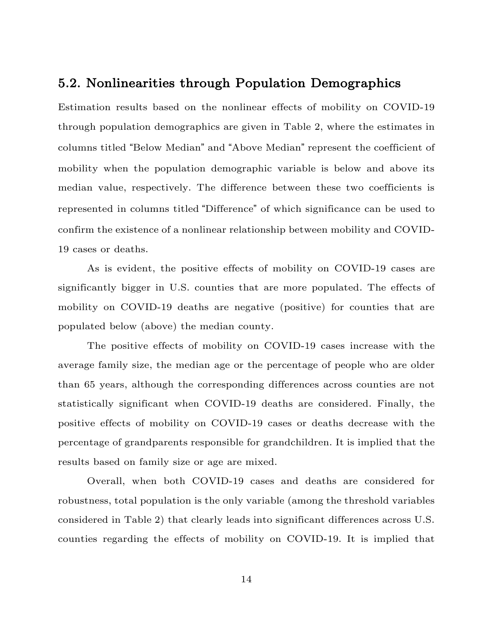#### 5.2. Nonlinearities through Population Demographics

Estimation results based on the nonlinear effects of mobility on COVID-19 through population demographics are given in Table 2, where the estimates in columns titled "Below Median" and "Above Median" represent the coefficient of mobility when the population demographic variable is below and above its median value, respectively. The difference between these two coefficients is represented in columns titled "Difference" of which significance can be used to confirm the existence of a nonlinear relationship between mobility and COVID-19 cases or deaths.

As is evident, the positive effects of mobility on COVID-19 cases are significantly bigger in U.S. counties that are more populated. The effects of mobility on COVID-19 deaths are negative (positive) for counties that are populated below (above) the median county.

The positive effects of mobility on COVID-19 cases increase with the average family size, the median age or the percentage of people who are older than 65 years, although the corresponding differences across counties are not statistically significant when COVID-19 deaths are considered. Finally, the positive effects of mobility on COVID-19 cases or deaths decrease with the percentage of grandparents responsible for grandchildren. It is implied that the results based on family size or age are mixed.

Overall, when both COVID-19 cases and deaths are considered for robustness, total population is the only variable (among the threshold variables considered in Table 2) that clearly leads into significant differences across U.S. counties regarding the effects of mobility on COVID-19. It is implied that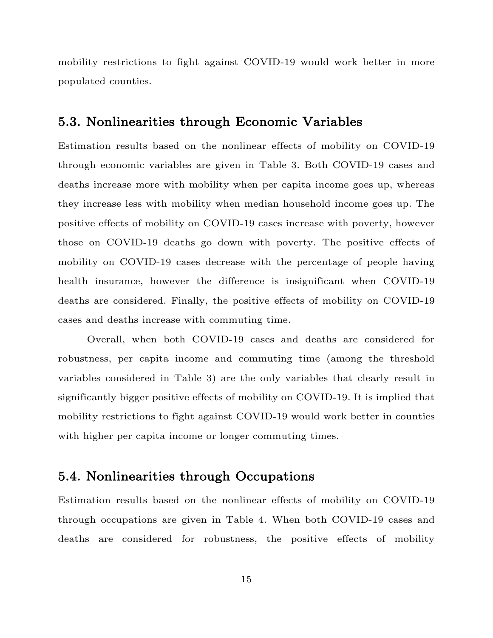mobility restrictions to fight against COVID-19 would work better in more populated counties.

## 5.3. Nonlinearities through Economic Variables

Estimation results based on the nonlinear effects of mobility on COVID-19 through economic variables are given in Table 3. Both COVID-19 cases and deaths increase more with mobility when per capita income goes up, whereas they increase less with mobility when median household income goes up. The positive effects of mobility on COVID-19 cases increase with poverty, however those on COVID-19 deaths go down with poverty. The positive effects of mobility on COVID-19 cases decrease with the percentage of people having health insurance, however the difference is insignificant when COVID-19 deaths are considered. Finally, the positive effects of mobility on COVID-19 cases and deaths increase with commuting time.

Overall, when both COVID-19 cases and deaths are considered for robustness, per capita income and commuting time (among the threshold variables considered in Table 3) are the only variables that clearly result in significantly bigger positive effects of mobility on COVID-19. It is implied that mobility restrictions to fight against COVID-19 would work better in counties with higher per capita income or longer commuting times.

### 5.4. Nonlinearities through Occupations

Estimation results based on the nonlinear effects of mobility on COVID-19 through occupations are given in Table 4. When both COVID-19 cases and deaths are considered for robustness, the positive effects of mobility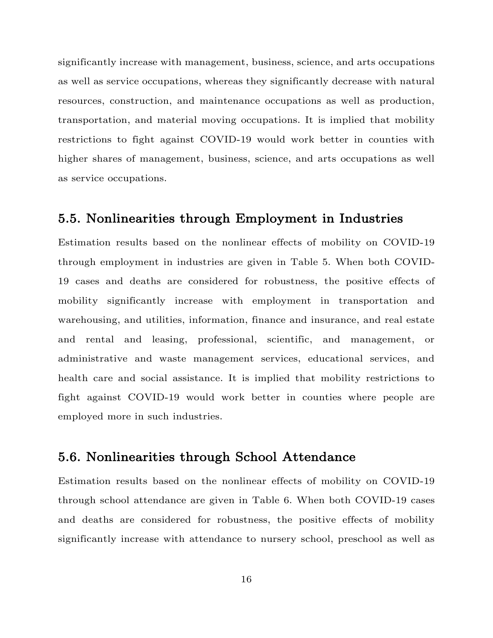significantly increase with management, business, science, and arts occupations as well as service occupations, whereas they significantly decrease with natural resources, construction, and maintenance occupations as well as production, transportation, and material moving occupations. It is implied that mobility restrictions to fight against COVID-19 would work better in counties with higher shares of management, business, science, and arts occupations as well as service occupations.

#### 5.5. Nonlinearities through Employment in Industries

Estimation results based on the nonlinear effects of mobility on COVID-19 through employment in industries are given in Table 5. When both COVID-19 cases and deaths are considered for robustness, the positive effects of mobility significantly increase with employment in transportation and warehousing, and utilities, information, finance and insurance, and real estate and rental and leasing, professional, scientific, and management, or administrative and waste management services, educational services, and health care and social assistance. It is implied that mobility restrictions to fight against COVID-19 would work better in counties where people are employed more in such industries.

#### 5.6. Nonlinearities through School Attendance

Estimation results based on the nonlinear effects of mobility on COVID-19 through school attendance are given in Table 6. When both COVID-19 cases and deaths are considered for robustness, the positive effects of mobility significantly increase with attendance to nursery school, preschool as well as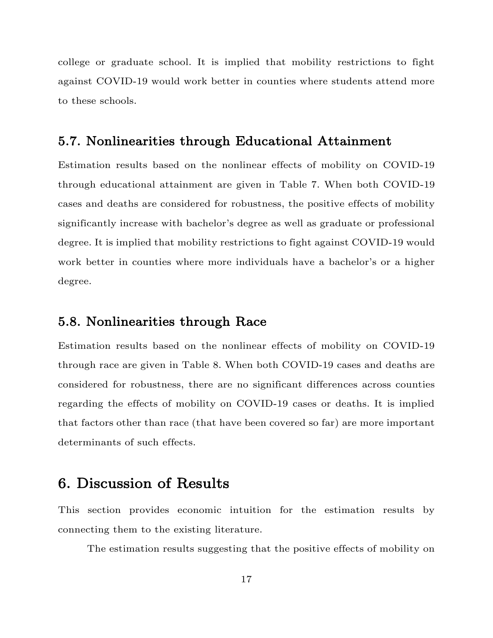college or graduate school. It is implied that mobility restrictions to fight against COVID-19 would work better in counties where students attend more to these schools.

#### 5.7. Nonlinearities through Educational Attainment

Estimation results based on the nonlinear effects of mobility on COVID-19 through educational attainment are given in Table 7. When both COVID-19 cases and deaths are considered for robustness, the positive effects of mobility significantly increase with bachelor's degree as well as graduate or professional degree. It is implied that mobility restrictions to fight against COVID-19 would work better in counties where more individuals have a bachelor's or a higher degree.

#### 5.8. Nonlinearities through Race

Estimation results based on the nonlinear effects of mobility on COVID-19 through race are given in Table 8. When both COVID-19 cases and deaths are considered for robustness, there are no significant differences across counties regarding the effects of mobility on COVID-19 cases or deaths. It is implied that factors other than race (that have been covered so far) are more important determinants of such effects.

# 6. Discussion of Results

This section provides economic intuition for the estimation results by connecting them to the existing literature.

The estimation results suggesting that the positive effects of mobility on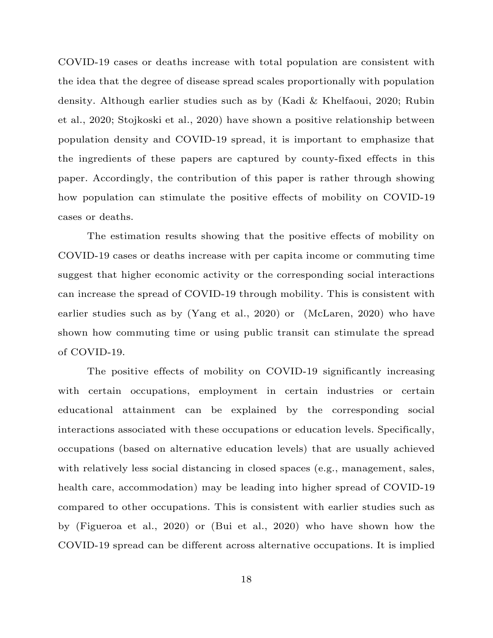COVID-19 cases or deaths increase with total population are consistent with the idea that the degree of disease spread scales proportionally with population density. Although earlier studies such as by (Kadi & Khelfaoui, 2020; Rubin et al., 2020; Stojkoski et al., 2020) have shown a positive relationship between population density and COVID-19 spread, it is important to emphasize that the ingredients of these papers are captured by county-fixed effects in this paper. Accordingly, the contribution of this paper is rather through showing how population can stimulate the positive effects of mobility on COVID-19 cases or deaths.

The estimation results showing that the positive effects of mobility on COVID-19 cases or deaths increase with per capita income or commuting time suggest that higher economic activity or the corresponding social interactions can increase the spread of COVID-19 through mobility. This is consistent with earlier studies such as by (Yang et al., 2020) or (McLaren, 2020) who have shown how commuting time or using public transit can stimulate the spread of COVID-19.

The positive effects of mobility on COVID-19 significantly increasing with certain occupations, employment in certain industries or certain educational attainment can be explained by the corresponding social interactions associated with these occupations or education levels. Specifically, occupations (based on alternative education levels) that are usually achieved with relatively less social distancing in closed spaces (e.g., management, sales, health care, accommodation) may be leading into higher spread of COVID-19 compared to other occupations. This is consistent with earlier studies such as by (Figueroa et al., 2020) or (Bui et al., 2020) who have shown how the COVID-19 spread can be different across alternative occupations. It is implied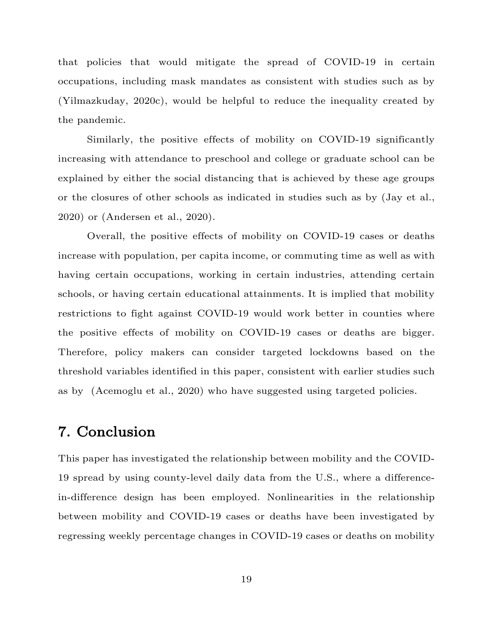that policies that would mitigate the spread of COVID-19 in certain occupations, including mask mandates as consistent with studies such as by (Yilmazkuday, 2020c), would be helpful to reduce the inequality created by the pandemic.

Similarly, the positive effects of mobility on COVID-19 significantly increasing with attendance to preschool and college or graduate school can be explained by either the social distancing that is achieved by these age groups or the closures of other schools as indicated in studies such as by (Jay et al., 2020) or (Andersen et al., 2020).

Overall, the positive effects of mobility on COVID-19 cases or deaths increase with population, per capita income, or commuting time as well as with having certain occupations, working in certain industries, attending certain schools, or having certain educational attainments. It is implied that mobility restrictions to fight against COVID-19 would work better in counties where the positive effects of mobility on COVID-19 cases or deaths are bigger. Therefore, policy makers can consider targeted lockdowns based on the threshold variables identified in this paper, consistent with earlier studies such as by (Acemoglu et al., 2020) who have suggested using targeted policies.

# 7. Conclusion

This paper has investigated the relationship between mobility and the COVID-19 spread by using county-level daily data from the U.S., where a differencein-difference design has been employed. Nonlinearities in the relationship between mobility and COVID-19 cases or deaths have been investigated by regressing weekly percentage changes in COVID-19 cases or deaths on mobility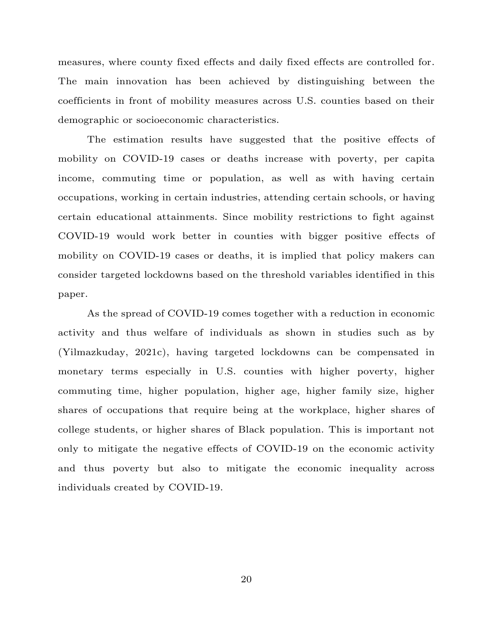measures, where county fixed effects and daily fixed effects are controlled for. The main innovation has been achieved by distinguishing between the coefficients in front of mobility measures across U.S. counties based on their demographic or socioeconomic characteristics.

The estimation results have suggested that the positive effects of mobility on COVID-19 cases or deaths increase with poverty, per capita income, commuting time or population, as well as with having certain occupations, working in certain industries, attending certain schools, or having certain educational attainments. Since mobility restrictions to fight against COVID-19 would work better in counties with bigger positive effects of mobility on COVID-19 cases or deaths, it is implied that policy makers can consider targeted lockdowns based on the threshold variables identified in this paper.

As the spread of COVID-19 comes together with a reduction in economic activity and thus welfare of individuals as shown in studies such as by (Yilmazkuday, 2021c), having targeted lockdowns can be compensated in monetary terms especially in U.S. counties with higher poverty, higher commuting time, higher population, higher age, higher family size, higher shares of occupations that require being at the workplace, higher shares of college students, or higher shares of Black population. This is important not only to mitigate the negative effects of COVID-19 on the economic activity and thus poverty but also to mitigate the economic inequality across individuals created by COVID-19.

20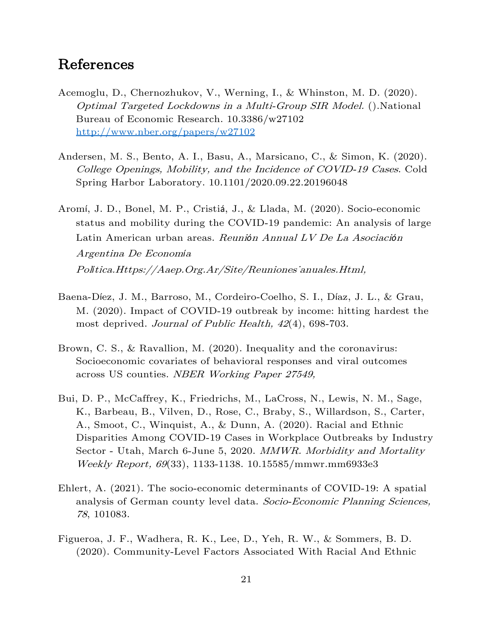# References

- Acemoglu, D., Chernozhukov, V., Werning, I., & Whinston, M. D. (2020). Optimal Targeted Lockdowns in a Multi-Group SIR Model. ().National Bureau of Economic Research. 10.3386/w27102 <http://www.nber.org/papers/w27102>
- Andersen, M. S., Bento, A. I., Basu, A., Marsicano, C., & Simon, K. (2020). College Openings, Mobility, and the Incidence of COVID-19 Cases. Cold Spring Harbor Laboratory. 10.1101/2020.09.22.20196048
- Aromí, J. D., Bonel, M. P., Cristiá, J., & Llada, M. (2020). Socio-economic status and mobility during the COVID-19 pandemic: An analysis of large Latin American urban areas. Reuni*ó*n Annual LV De La Asociaci*ó*<sup>n</sup> Argentina De Econom*í*<sup>a</sup> Política.Https://Aaep.Org.Ar/Site/Reuniones<sup>'</sup>anuales.Html,
- Baena-Díez, J. M., Barroso, M., Cordeiro-Coelho, S. I., Díaz, J. L., & Grau, M. (2020). Impact of COVID-19 outbreak by income: hitting hardest the most deprived. Journal of Public Health,  $42(4)$ , 698-703.
- Brown, C. S., & Ravallion, M. (2020). Inequality and the coronavirus: Socioeconomic covariates of behavioral responses and viral outcomes across US counties. NBER Working Paper 27549,
- Bui, D. P., McCaffrey, K., Friedrichs, M., LaCross, N., Lewis, N. M., Sage, K., Barbeau, B., Vilven, D., Rose, C., Braby, S., Willardson, S., Carter, A., Smoot, C., Winquist, A., & Dunn, A. (2020). Racial and Ethnic Disparities Among COVID-19 Cases in Workplace Outbreaks by Industry Sector - Utah, March 6-June 5, 2020. MMWR. Morbidity and Mortality Weekly Report, 69(33), 1133-1138. 10.15585/mmwr.mm6933e3
- Ehlert, A. (2021). The socio-economic determinants of COVID-19: A spatial analysis of German county level data. Socio-Economic Planning Sciences, <sup>78</sup>, 101083.
- Figueroa, J. F., Wadhera, R. K., Lee, D., Yeh, R. W., & Sommers, B. D. (2020). Community-Level Factors Associated With Racial And Ethnic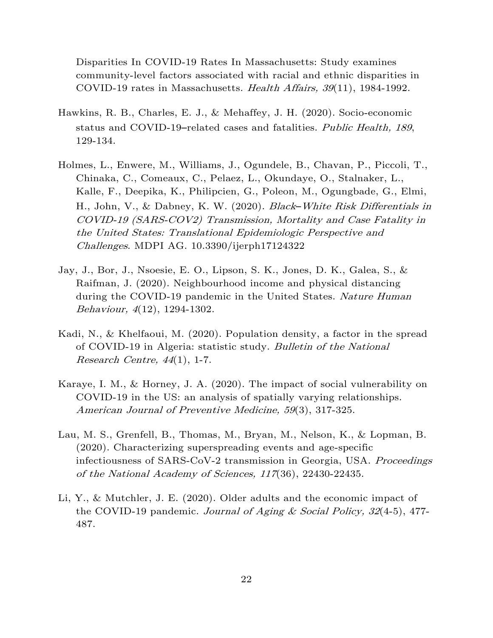Disparities In COVID-19 Rates In Massachusetts: Study examines community-level factors associated with racial and ethnic disparities in COVID-19 rates in Massachusetts. Health Affairs, 39(11), 1984-1992.

- Hawkins, R. B., Charles, E. J., & Mehaffey, J. H. (2020). Socio-economic status and COVID-19–related cases and fatalities. Public Health, 189, 129-134.
- Holmes, L., Enwere, M., Williams, J., Ogundele, B., Chavan, P., Piccoli, T., Chinaka, C., Comeaux, C., Pelaez, L., Okundaye, O., Stalnaker, L., Kalle, F., Deepika, K., Philipcien, G., Poleon, M., Ogungbade, G., Elmi, H., John, V., & Dabney, K. W. (2020). Black*–*White Risk Differentials in COVID-19 (SARS-COV2) Transmission, Mortality and Case Fatality in the United States: Translational Epidemiologic Perspective and Challenges. MDPI AG. 10.3390/ijerph17124322
- Jay, J., Bor, J., Nsoesie, E. O., Lipson, S. K., Jones, D. K., Galea, S., & Raifman, J. (2020). Neighbourhood income and physical distancing during the COVID-19 pandemic in the United States. Nature Human Behaviour, 4(12), 1294-1302.
- Kadi, N., & Khelfaoui, M. (2020). Population density, a factor in the spread of COVID-19 in Algeria: statistic study. Bulletin of the National Research Centre,  $44(1)$ , 1-7.
- Karaye, I. M., & Horney, J. A. (2020). The impact of social vulnerability on COVID-19 in the US: an analysis of spatially varying relationships. American Journal of Preventive Medicine, 59(3), 317-325.
- Lau, M. S., Grenfell, B., Thomas, M., Bryan, M., Nelson, K., & Lopman, B. (2020). Characterizing superspreading events and age-specific infectiousness of SARS-CoV-2 transmission in Georgia, USA. Proceedings of the National Academy of Sciences, 117(36), 22430-22435.
- Li, Y., & Mutchler, J. E. (2020). Older adults and the economic impact of the COVID-19 pandemic. Journal of Aging & Social Policy,  $32(4-5)$ , 477-487.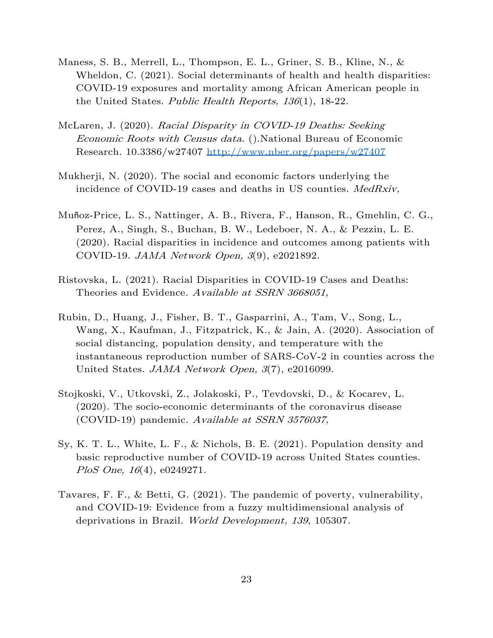- Maness, S. B., Merrell, L., Thompson, E. L., Griner, S. B., Kline, N., & Wheldon, C. (2021). Social determinants of health and health disparities: COVID-19 exposures and mortality among African American people in the United States. Public Health Reports, 136(1), 18-22.
- McLaren, J. (2020). Racial Disparity in COVID-19 Deaths: Seeking Economic Roots with Census data. ().National Bureau of Economic Research. 10.3386/w27407<http://www.nber.org/papers/w27407>
- Mukherji, N. (2020). The social and economic factors underlying the incidence of COVID-19 cases and deaths in US counties. *MedRxiv*,
- Muñoz-Price, L. S., Nattinger, A. B., Rivera, F., Hanson, R., Gmehlin, C. G., Perez, A., Singh, S., Buchan, B. W., Ledeboer, N. A., & Pezzin, L. E. (2020). Racial disparities in incidence and outcomes among patients with COVID-19. JAMA Network Open, 3(9), e2021892.
- Ristovska, L. (2021). Racial Disparities in COVID-19 Cases and Deaths: Theories and Evidence. Available at SSRN 3668051,
- Rubin, D., Huang, J., Fisher, B. T., Gasparrini, A., Tam, V., Song, L., Wang, X., Kaufman, J., Fitzpatrick, K., & Jain, A. (2020). Association of social distancing, population density, and temperature with the instantaneous reproduction number of SARS-CoV-2 in counties across the United States. *JAMA Network Open*, 3(7), e2016099.
- Stojkoski, V., Utkovski, Z., Jolakoski, P., Tevdovski, D., & Kocarev, L. (2020). The socio-economic determinants of the coronavirus disease (COVID-19) pandemic. Available at SSRN 3576037,
- Sy, K. T. L., White, L. F., & Nichols, B. E. (2021). Population density and basic reproductive number of COVID-19 across United States counties. PloS One,  $16(4)$ , e0249271.
- Tavares, F. F., & Betti, G. (2021). The pandemic of poverty, vulnerability, and COVID-19: Evidence from a fuzzy multidimensional analysis of deprivations in Brazil. World Development, 139, 105307.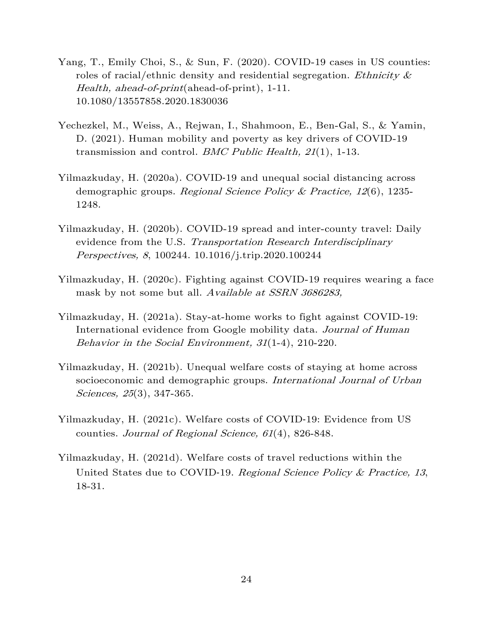- Yang, T., Emily Choi, S., & Sun, F. (2020). COVID-19 cases in US counties: roles of racial/ethnic density and residential segregation. Ethnicity  $\&$ Health, ahead-of-print(ahead-of-print), 1-11. 10.1080/13557858.2020.1830036
- Yechezkel, M., Weiss, A., Rejwan, I., Shahmoon, E., Ben-Gal, S., & Yamin, D. (2021). Human mobility and poverty as key drivers of COVID-19 transmission and control. *BMC Public Health, 21*(1), 1-13.
- Yilmazkuday, H. (2020a). COVID‐19 and unequal social distancing across demographic groups. Regional Science Policy & Practice,  $12(6)$ , 1235-1248.
- Yilmazkuday, H. (2020b). COVID-19 spread and inter-county travel: Daily evidence from the U.S. Transportation Research Interdisciplinary Perspectives, 8, 100244. 10.1016/j.trip.2020.100244
- Yilmazkuday, H. (2020c). Fighting against COVID-19 requires wearing a face mask by not some but all. Available at SSRN 3686283,
- Yilmazkuday, H. (2021a). Stay-at-home works to fight against COVID-19: International evidence from Google mobility data. Journal of Human Behavior in the Social Environment, 31(1-4), 210-220.
- Yilmazkuday, H. (2021b). Unequal welfare costs of staying at home across socioeconomic and demographic groups. International Journal of Urban Sciences, 25(3), 347-365.
- Yilmazkuday, H. (2021c). Welfare costs of COVID‐19: Evidence from US counties. Journal of Regional Science, 61(4), 826-848.
- Yilmazkuday, H. (2021d). Welfare costs of travel reductions within the United States due to COVID-19. Regional Science Policy & Practice, 13, 18-31.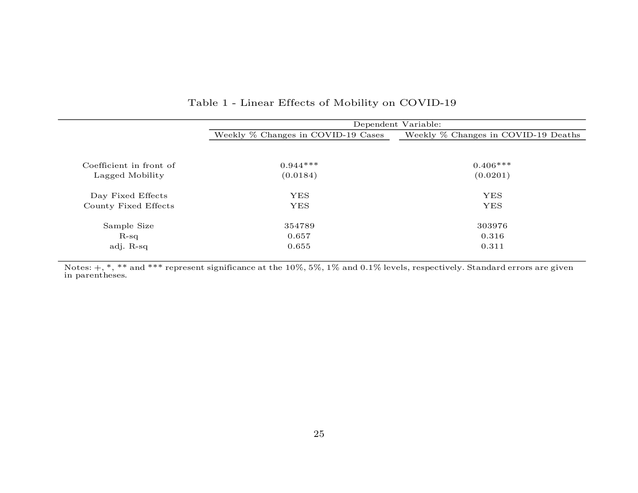|                         | Dependent Variable:                |                                     |  |  |  |  |  |
|-------------------------|------------------------------------|-------------------------------------|--|--|--|--|--|
|                         | Weekly % Changes in COVID-19 Cases | Weekly % Changes in COVID-19 Deaths |  |  |  |  |  |
|                         |                                    |                                     |  |  |  |  |  |
| Coefficient in front of | $0.944***$                         | $0.406***$                          |  |  |  |  |  |
| Lagged Mobility         | (0.0184)                           | (0.0201)                            |  |  |  |  |  |
| Day Fixed Effects       | <b>YES</b>                         | <b>YES</b>                          |  |  |  |  |  |
| County Fixed Effects    | <b>YES</b>                         | <b>YES</b>                          |  |  |  |  |  |
| Sample Size             | 354789                             | 303976                              |  |  |  |  |  |
| $R-sq$                  | 0.657                              | 0.316                               |  |  |  |  |  |
| adj. R-sq               | 0.655                              | 0.311                               |  |  |  |  |  |

#### Table 1 - Linear Effects of Mobility on COVID-19

Notes:  $+,\,$   $^*,\,$   $^*$  and  $^{***}$  represent significance at the  $10\% ,\,5\% ,\,1\%$  and  $0.1\%$  levels, respectively. Standard errors are given in parentheses.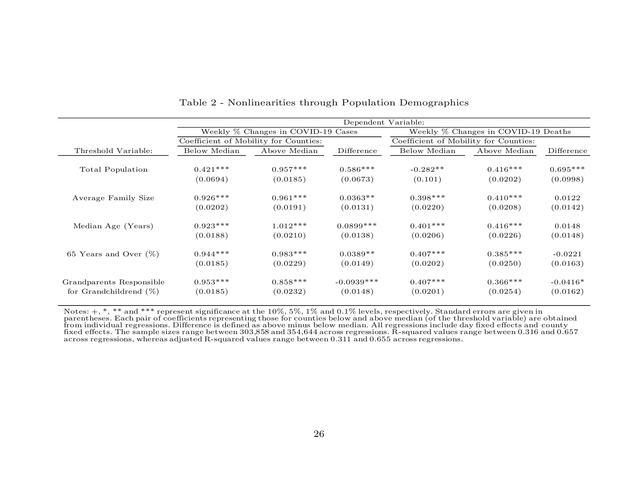|                           | Dependent Variable:                |                                       |              |                                       |              |            |
|---------------------------|------------------------------------|---------------------------------------|--------------|---------------------------------------|--------------|------------|
|                           | Weekly % Changes in COVID-19 Cases |                                       |              | Weekly % Changes in COVID-19 Deaths   |              |            |
|                           |                                    | Coefficient of Mobility for Counties: |              | Coefficient of Mobility for Counties: |              |            |
| Threshold Variable:       | Below Median                       | Above Median                          | Difference   | Below Median                          | Above Median | Difference |
| Total Population          | $0.421***$                         | $0.957***$                            | $0.586***$   | $-0.282**$                            | $0.416***$   | $0.695***$ |
|                           | (0.0694)                           | (0.0185)                              | (0.0673)     | (0.101)                               | (0.0202)     | (0.0998)   |
| Average Family Size       | $0.926***$                         | $0.961***$                            | $0.0363**$   | $0.398***$                            | $0.410***$   | 0.0122     |
|                           | (0.0202)                           | (0.0191)                              | (0.0131)     | (0.0220)                              | (0.0208)     | (0.0142)   |
| Median Age (Years)        | $0.923***$                         | $1.012***$                            | $0.0899***$  | $0.401***$                            | $0.416***$   | 0.0148     |
|                           | (0.0188)                           | (0.0210)                              | (0.0138)     | (0.0206)                              | (0.0226)     | (0.0148)   |
| 65 Years and Over $(\%)$  | $0.944***$                         | $0.983***$                            | $0.0389**$   | $0.407***$                            | $0.385***$   | $-0.0221$  |
|                           | (0.0185)                           | (0.0229)                              | (0.0149)     | (0.0202)                              | (0.0250)     | (0.0163)   |
| Grandparents Responsible  | $0.953***$                         | $0.858***$                            | $-0.0939***$ | $0.407***$                            | $0.366***$   | $-0.0416*$ |
| for Grandchildrend $(\%)$ | (0.0185)                           | (0.0232)                              | (0.0148)     | (0.0201)                              | (0.0254)     | (0.0162)   |

Table 2 - Nonlinearities through Population Demographics

 $\overline{a}$ 

Notes:  $+$ ,  $*$ ,  $*$  and  $**$  represent significance at the  $10\%, 5\%, 1\%$  and  $0.1\%$  levels, respectively. Standard errors are given in parentheses. Each pair of coefficients representing those for counties below and above median (of the threshold variable) are obtained<br>from individual regressions. Difference is defined as above minus below median. All reg fixed effects. The sample sizes range between 303,858 and 354,644 across regressions. R-squared values range between 0.316 and 0.657 across regressions, whereas adjusted R-squared values range between 0.311 and 0.655 across regressions.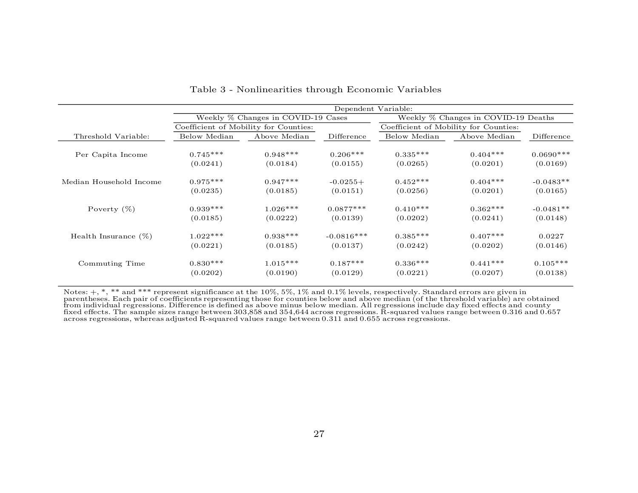|                         |              | Dependent Variable:                   |              |                                     |                                       |             |  |  |  |
|-------------------------|--------------|---------------------------------------|--------------|-------------------------------------|---------------------------------------|-------------|--|--|--|
|                         |              | Weekly % Changes in COVID-19 Cases    |              | Weekly % Changes in COVID-19 Deaths |                                       |             |  |  |  |
|                         |              | Coefficient of Mobility for Counties: |              |                                     | Coefficient of Mobility for Counties: |             |  |  |  |
| Threshold Variable:     | Below Median | Above Median                          | Difference   | Below Median                        | Above Median                          | Difference  |  |  |  |
| Per Capita Income       | $0.745***$   | $0.948***$                            | $0.206***$   | $0.335***$                          | $0.404***$                            | $0.0690***$ |  |  |  |
|                         | (0.0241)     | (0.0184)                              | (0.0155)     | (0.0265)                            | (0.0201)                              | (0.0169)    |  |  |  |
| Median Household Income | $0.975***$   | $0.947***$                            | $-0.0255+$   | $0.452***$                          | $0.404***$                            | $-0.0483**$ |  |  |  |
|                         | (0.0235)     | (0.0185)                              | (0.0151)     | (0.0256)                            | (0.0201)                              | (0.0165)    |  |  |  |
| Poverty $(\%)$          | $0.939***$   | $1.026***$                            | $0.0877***$  | $0.410***$                          | $0.362***$                            | $-0.0481**$ |  |  |  |
|                         | (0.0185)     | (0.0222)                              | (0.0139)     | (0.0202)                            | (0.0241)                              | (0.0148)    |  |  |  |
| Health Insurance $(\%)$ | $1.022***$   | $0.938***$                            | $-0.0816***$ | $0.385***$                          | $0.407***$                            | 0.0227      |  |  |  |
|                         | (0.0221)     | (0.0185)                              | (0.0137)     | (0.0242)                            | (0.0202)                              | (0.0146)    |  |  |  |
| Commuting Time          | $0.830***$   | $1.015***$                            | $0.187***$   | $0.336***$                          | $0.441***$                            | $0.105***$  |  |  |  |
|                         | (0.0202)     | (0.0190)                              | (0.0129)     | (0.0221)                            | (0.0207)                              | (0.0138)    |  |  |  |

Table 3 - Nonlinearities through Economic Variables

Notes:  $+$ ,  $*$ ,  $*$  and  $**$  represent significance at the  $10\%$ ,  $5\%$ ,  $1\%$  and  $0.1\%$  levels, respectively. Standard errors are given in parentheses. Each pair of coefficients representing those for counties below and above median (of the threshold variable) are obtained<br>from individual regressions. Difference is defined as above minus below median. All reg fixed effects. The sample sizes range between 303,858 and 354,644 across regressions. R-squared values range between 0.316 and 0.657 across regressions, whereas adjusted R-squared values range between 0.311 and 0.655 across regressions.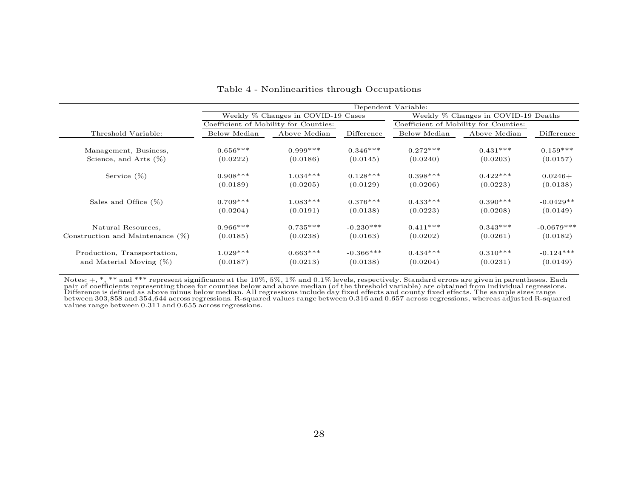|                                     | Dependent Variable: |                                       |             |                                     |                                       |              |  |  |
|-------------------------------------|---------------------|---------------------------------------|-------------|-------------------------------------|---------------------------------------|--------------|--|--|
|                                     |                     | Weekly % Changes in COVID-19 Cases    |             | Weekly % Changes in COVID-19 Deaths |                                       |              |  |  |
|                                     |                     | Coefficient of Mobility for Counties: |             |                                     | Coefficient of Mobility for Counties: |              |  |  |
| Threshold Variable:                 | Below Median        | Above Median                          | Difference  | Below Median                        | Above Median                          | Difference   |  |  |
| Management, Business,               | $0.656***$          | $0.999***$                            | $0.346***$  | $0.272***$                          | $0.431***$                            | $0.159***$   |  |  |
| Science, and Arts $(\%)$            | (0.0222)            | (0.0186)                              | (0.0145)    | (0.0240)                            | (0.0203)                              | (0.0157)     |  |  |
| Service $(\%)$                      | $0.908***$          | $1.034***$                            | $0.128***$  | $0.398***$                          | $0.422***$                            | $0.0246+$    |  |  |
|                                     | (0.0189)            | (0.0205)                              | (0.0129)    | (0.0206)                            | (0.0223)                              | (0.0138)     |  |  |
| Sales and Office $(\%)$             | $0.709***$          | $1.083***$                            | $0.376***$  | $0.433***$                          | $0.390***$                            | $-0.0429**$  |  |  |
|                                     | (0.0204)            | (0.0191)                              | (0.0138)    | (0.0223)                            | (0.0208)                              | (0.0149)     |  |  |
| Natural Resources,                  | $0.966***$          | $0.735***$                            | $-0.230***$ | $0.411***$                          | $0.343***$                            | $-0.0679***$ |  |  |
| Construction and Maintenance $(\%)$ | (0.0185)            | (0.0238)                              | (0.0163)    | (0.0202)                            | (0.0261)                              | (0.0182)     |  |  |
| Production, Transportation,         | $1.029***$          | $0.663***$                            | $-0.366***$ | $0.434***$                          | $0.310***$                            | $-0.124***$  |  |  |
| and Material Moving $(\%)$          | (0.0187)            | (0.0213)                              | (0.0138)    | (0.0204)                            | (0.0231)                              | (0.0149)     |  |  |

#### Table 4 - Nonlinearities through Occupations

Notes: +, \*, \*\* and \*\*\* represent significance at the 10%, 5%, 1% and 0.1% levels, respectively. Standard errors are given in parentheses. Each<br>pair of coefficients representing those for counties below and above median (o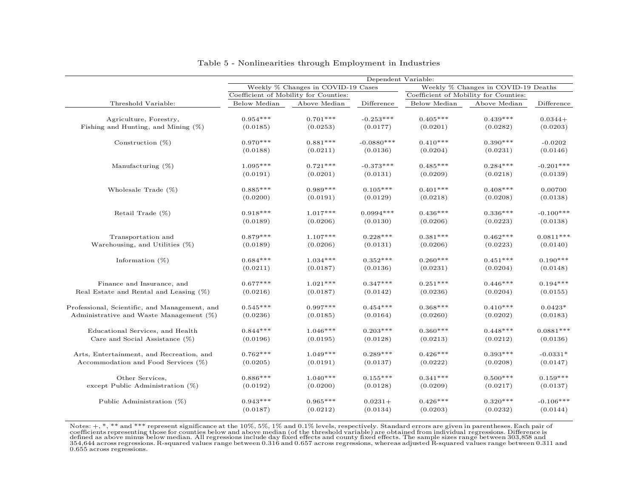|                                               | Dependent Variable:                   |                                    |              |              |                                       |                                     |  |
|-----------------------------------------------|---------------------------------------|------------------------------------|--------------|--------------|---------------------------------------|-------------------------------------|--|
|                                               |                                       | Weekly % Changes in COVID-19 Cases |              |              |                                       | Weekly % Changes in COVID-19 Deaths |  |
|                                               | Coefficient of Mobility for Counties: |                                    |              |              | Coefficient of Mobility for Counties: |                                     |  |
| Threshold Variable:                           | Below Median                          | Above Median                       | Difference   | Below Median | Above Median                          | Difference                          |  |
|                                               |                                       |                                    |              |              |                                       |                                     |  |
| Agriculture, Forestry,                        | $0.954***$                            | $0.701***$                         | $-0.253***$  | $0.405***$   | $0.439***$                            | $0.0344+$                           |  |
| Fishing and Hunting, and Mining $(\%)$        | (0.0185)                              | (0.0253)                           | (0.0177)     | (0.0201)     | (0.0282)                              | (0.0203)                            |  |
| Construction $(\%)$                           | $0.970***$                            | $0.881***$                         | $-0.0880***$ | $0.410***$   | $0.390***$                            | $-0.0202$                           |  |
|                                               | (0.0188)                              | (0.0211)                           | (0.0136)     | (0.0204)     | (0.0231)                              | (0.0146)                            |  |
|                                               |                                       |                                    |              |              |                                       |                                     |  |
| Manufacturing $(\%)$                          | $1.095***$                            | $0.721***$                         | $-0.373***$  | $0.485***$   | $0.284***$                            | $-0.201***$                         |  |
|                                               | (0.0191)                              | (0.0201)                           | (0.0131)     | (0.0209)     | (0.0218)                              | (0.0139)                            |  |
| Wholesale Trade $(\%)$                        | $0.885***$                            | $0.989***$                         | $0.105***$   | $0.401***$   | $0.408***$                            | 0.00700                             |  |
|                                               | (0.0200)                              | (0.0191)                           | (0.0129)     | (0.0218)     | (0.0208)                              | (0.0138)                            |  |
| Retail Trade $(\%)$                           | $0.918***$                            | $1.017***$                         | $0.0994***$  | $0.436***$   | $0.336***$                            | $-0.100***$                         |  |
|                                               | (0.0189)                              | (0.0206)                           | (0.0130)     | (0.0206)     | (0.0223)                              | (0.0138)                            |  |
|                                               |                                       |                                    |              |              |                                       |                                     |  |
| Transportation and                            | $0.879***$                            | $1.107***$                         | $0.228***$   | $0.381***$   | $0.462***$                            | $0.0811***$                         |  |
| Warehousing, and Utilities $(\%)$             | (0.0189)                              | (0.0206)                           | (0.0131)     | (0.0206)     | (0.0223)                              | (0.0140)                            |  |
| Information $(\%)$                            | $0.684***$                            | $1.034***$                         | $0.352***$   | $0.260***$   | $0.451***$                            | $0.190***$                          |  |
|                                               | (0.0211)                              | (0.0187)                           | (0.0136)     | (0.0231)     | (0.0204)                              | (0.0148)                            |  |
|                                               |                                       |                                    |              |              |                                       |                                     |  |
| Finance and Insurance, and                    | $0.677***$                            | $1.021***$                         | $0.347***$   | $0.251***$   | $0.446***$                            | $0.194***$                          |  |
| Real Estate and Rental and Leasing $(\%)$     | (0.0216)                              | (0.0187)                           | (0.0142)     | (0.0236)     | (0.0204)                              | (0.0155)                            |  |
| Professional, Scientific, and Management, and | $0.545***$                            | $0.997***$                         | $0.454***$   | $0.368***$   | $0.410***$                            | $0.0423*$                           |  |
| Administrative and Waste Management $(\%)$    | (0.0236)                              | (0.0185)                           | (0.0164)     | (0.0260)     | (0.0202)                              | (0.0183)                            |  |
| Educational Services, and Health              | $0.844***$                            | $1.046***$                         | $0.203***$   | $0.360***$   | $0.448***$                            | $0.0881***$                         |  |
| Care and Social Assistance $(\%)$             | (0.0196)                              | (0.0195)                           | (0.0128)     | (0.0213)     | (0.0212)                              | (0.0136)                            |  |
|                                               |                                       |                                    |              |              |                                       |                                     |  |
| Arts, Entertainment, and Recreation, and      | $0.762***$                            | $1.049***$                         | $0.289***$   | $0.426***$   | $0.393***$                            | $-0.0331*$                          |  |
| Accommodation and Food Services $(\%)$        | (0.0205)                              | (0.0191)                           | (0.0137)     | (0.0222)     | (0.0208)                              | (0.0147)                            |  |
| Other Services,                               | $0.886***$                            | $1.040***$                         | $0.155***$   | $0.341***$   | $0.500***$                            | $0.159***$                          |  |
| except Public Administration (%)              | (0.0192)                              | (0.0200)                           | (0.0128)     | (0.0209)     | (0.0217)                              | (0.0137)                            |  |
|                                               |                                       |                                    |              |              |                                       |                                     |  |
| Public Administration $(\%)$                  | $0.943***$                            | $0.965***$                         | $0.0231+$    | $0.426***$   | $0.320***$                            | $-0.106***$                         |  |
|                                               | (0.0187)                              | (0.0212)                           | (0.0134)     | (0.0203)     | (0.0232)                              | (0.0144)                            |  |

#### Table 5 - Nonlinearities through Employment in Industries

 $_{\rm{tfs~s}}^{\rm{bre}}$ Notes: +, \*, \*\* and \*\*\* represent significance at the 10%, 5%, 1% and 0.1% levels, respectively. Standard errors are given in parentheses. Each pair of<br>coefficients representing those for counties below and above median (o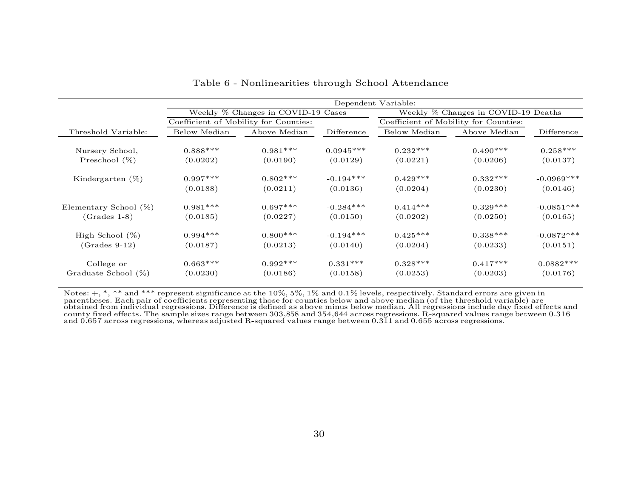|                        | Dependent Variable: |                                       |             |                                     |                                       |              |  |
|------------------------|---------------------|---------------------------------------|-------------|-------------------------------------|---------------------------------------|--------------|--|
|                        |                     | Weekly % Changes in COVID-19 Cases    |             | Weekly % Changes in COVID-19 Deaths |                                       |              |  |
|                        |                     | Coefficient of Mobility for Counties: |             |                                     | Coefficient of Mobility for Counties: |              |  |
| Threshold Variable:    | Below Median        | Above Median                          | Difference  | Below Median                        | Above Median                          | Difference   |  |
| Nursery School,        | $0.888***$          | $0.981***$                            | $0.0945***$ | $0.232***$                          | $0.490***$                            | $0.258***$   |  |
| Preschool $(\%)$       | (0.0202)            | (0.0190)                              | (0.0129)    | (0.0221)                            | (0.0206)                              | (0.0137)     |  |
| Kindergarten $(\%)$    | $0.997***$          | $0.802***$                            | $-0.194***$ | $0.429***$                          | $0.332***$                            | $-0.0969***$ |  |
|                        | (0.0188)            | (0.0211)                              | (0.0136)    | (0.0204)                            | (0.0230)                              | (0.0146)     |  |
| Elementary School (%)  | $0.981***$          | $0.697***$                            | $-0.284***$ | $0.414***$                          | $0.329***$                            | $-0.0851***$ |  |
| $(Grades 1-8)$         | (0.0185)            | (0.0227)                              | (0.0150)    | (0.0202)                            | (0.0250)                              | (0.0165)     |  |
| High School $(\%)$     | $0.994***$          | $0.800***$                            | $-0.194***$ | $0.425***$                          | $0.338***$                            | $-0.0872***$ |  |
| $(Grades 9-12)$        | (0.0187)            | (0.0213)                              | (0.0140)    | (0.0204)                            | (0.0233)                              | (0.0151)     |  |
| College or             | $0.663***$          | $0.992***$                            | $0.331***$  | $0.328***$                          | $0.417***$                            | $0.0882***$  |  |
| Graduate School $(\%)$ | (0.0230)            | (0.0186)                              | (0.0158)    | (0.0253)                            | (0.0203)                              | (0.0176)     |  |

Table 6 - Nonlinearities through School Attendance

Notes:  $+,\,^*,\,^*$  and  $^{***}$  represent significance at the  $10\%,\,5\%,\,1\%$  and  $0.1\%$  levels, respectively. Standard errors are given in parentheses. Each pair of coefficients representing those for counties below and above median (of the threshold variable) are obtained from individual regressions. Difference is defined as above minus below median. All regressions include day fixed effects and county fixed effects. The sample sizes range between 303,858 and 354,644 across regressions. R-squared values range between 0.316 and 0.657 across regressions, whereas adjusted R-squared values range between 0.311 and 0.655 across regressions.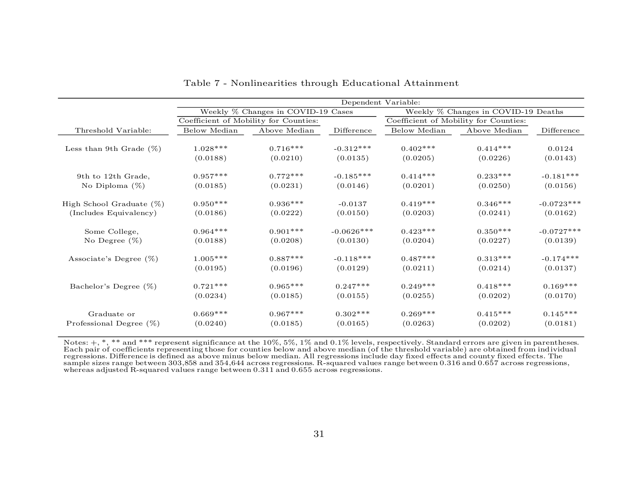|                             | Dependent Variable:                |                                       |              |                                     |                                       |              |
|-----------------------------|------------------------------------|---------------------------------------|--------------|-------------------------------------|---------------------------------------|--------------|
|                             | Weekly % Changes in COVID-19 Cases |                                       |              | Weekly % Changes in COVID-19 Deaths |                                       |              |
|                             |                                    | Coefficient of Mobility for Counties: |              |                                     | Coefficient of Mobility for Counties: |              |
| Threshold Variable:         | Below Median                       | Above Median                          | Difference   | Below Median                        | Above Median                          | Difference   |
| Less than 9th Grade $(\%)$  | $1.028***$                         | $0.716***$                            | $-0.312***$  | $0.402***$                          | $0.414***$                            | 0.0124       |
|                             | (0.0188)                           | (0.0210)                              | (0.0135)     | (0.0205)                            | (0.0226)                              | (0.0143)     |
| 9th to 12th Grade,          | $0.957***$                         | $0.772***$                            | $-0.185***$  | $0.414***$                          | $0.233***$                            | $-0.181***$  |
| No Diploma $(\%)$           | (0.0185)                           | (0.0231)                              | (0.0146)     | (0.0201)                            | (0.0250)                              | (0.0156)     |
| High School Graduate $(\%)$ | $0.950***$                         | $0.936***$                            | $-0.0137$    | $0.419***$                          | $0.346***$                            | $-0.0723***$ |
| (Includes Equivalency)      | (0.0186)                           | (0.0222)                              | (0.0150)     | (0.0203)                            | (0.0241)                              | (0.0162)     |
| Some College,               | $0.964***$                         | $0.901***$                            | $-0.0626***$ | $0.423***$                          | $0.350***$                            | $-0.0727***$ |
| No Degree $(\%)$            | (0.0188)                           | (0.0208)                              | (0.0130)     | (0.0204)                            | (0.0227)                              | (0.0139)     |
| Associate's Degree $(\%)$   | $1.005***$                         | $0.887***$                            | $-0.118***$  | $0.487***$                          | $0.313***$                            | $-0.174***$  |
|                             | (0.0195)                           | (0.0196)                              | (0.0129)     | (0.0211)                            | (0.0214)                              | (0.0137)     |
| Bachelor's Degree (%)       | $0.721***$                         | $0.965***$                            | $0.247***$   | $0.249***$                          | $0.418***$                            | $0.169***$   |
|                             | (0.0234)                           | (0.0185)                              | (0.0155)     | (0.0255)                            | (0.0202)                              | (0.0170)     |
| Graduate or                 | $0.669***$                         | $0.967***$                            | $0.302***$   | $0.269***$                          | $0.415***$                            | $0.145***$   |
| Professional Degree $(\%)$  | (0.0240)                           | (0.0185)                              | (0.0165)     | (0.0263)                            | (0.0202)                              | (0.0181)     |

| Table 7 - Nonlinearities through Educational Attainment |  |  |  |
|---------------------------------------------------------|--|--|--|
|---------------------------------------------------------|--|--|--|

Notes:  $+,\,^*,\,^*$  and  $^{***}$  represent significance at the  $10\%,\,5\%,\,1\%$  and  $0.1\%$  levels, respectively. Standard errors are given in parentheses. Each pair of coefficients representing those for counties below and above median (of the threshold variable) are obtained from individual<br>regressions. Difference is defined as above minus below median. All regressions incl sample sizes range between 303,858 and 354,644 across regressions. R-squared values range between 0.316 and 0.657 across regressions, whereas adjusted R-squared values range between 0.311 and 0.655 across regressions.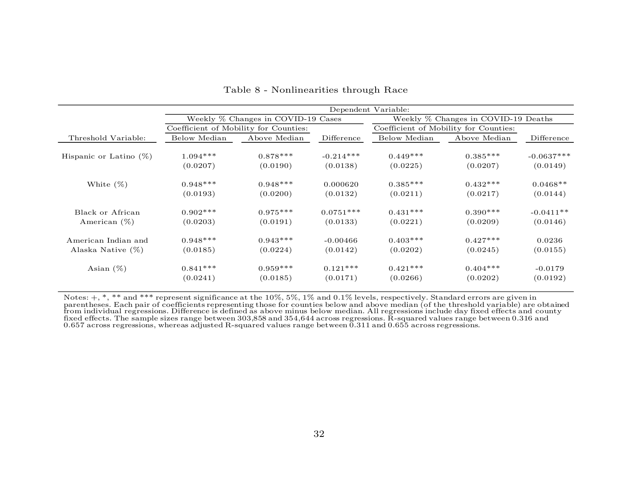|                           | Dependent Variable:                   |                                    |             |                                       |                                     |              |  |  |
|---------------------------|---------------------------------------|------------------------------------|-------------|---------------------------------------|-------------------------------------|--------------|--|--|
|                           |                                       | Weekly % Changes in COVID-19 Cases |             |                                       | Weekly % Changes in COVID-19 Deaths |              |  |  |
|                           | Coefficient of Mobility for Counties: |                                    |             | Coefficient of Mobility for Counties: |                                     |              |  |  |
| Threshold Variable:       | Below Median                          | Above Median                       | Difference  | Below Median                          | Above Median                        | Difference   |  |  |
| Hispanic or Latino $(\%)$ | $1.094***$                            | $0.878***$                         | $-0.214***$ | $0.449***$                            | $0.385***$                          | $-0.0637***$ |  |  |
|                           | (0.0207)                              | (0.0190)                           | (0.0138)    | (0.0225)                              | (0.0207)                            | (0.0149)     |  |  |
| White $(\%)$              | $0.948***$                            | $0.948***$                         | 0.000620    | $0.385***$                            | $0.432***$                          | $0.0468**$   |  |  |
|                           | (0.0193)                              | (0.0200)                           | (0.0132)    | (0.0211)                              | (0.0217)                            | (0.0144)     |  |  |
| Black or African          | $0.902***$                            | $0.975***$                         | $0.0751***$ | $0.431***$                            | $0.390***$                          | $-0.0411**$  |  |  |
| American $(\%)$           | (0.0203)                              | (0.0191)                           | (0.0133)    | (0.0221)                              | (0.0209)                            | (0.0146)     |  |  |
| American Indian and       | $0.948***$                            | $0.943***$                         | $-0.00466$  | $0.403***$                            | $0.427***$                          | 0.0236       |  |  |
| Alaska Native $(\%)$      | (0.0185)                              | (0.0224)                           | (0.0142)    | (0.0202)                              | (0.0245)                            | (0.0155)     |  |  |
| Asian $(\%)$              | $0.841***$                            | $0.959***$                         | $0.121***$  | $0.421***$                            | $0.404***$                          | $-0.0179$    |  |  |
|                           | (0.0241)                              | (0.0185)                           | (0.0171)    | (0.0266)                              | (0.0202)                            | (0.0192)     |  |  |

Table 8 - Nonlinearities through Race

Notes:  $+$ ,  $*$ ,  $*$  and  $**$  represent significance at the  $10\%, 5\%, 1\%$  and  $0.1\%$  levels, respectively. Standard errors are given in parentheses. Each pair of coefficients representing those for counties below and above median (of the threshold variable) are obtained<br>from individual regressions. Difference is defined as above minus below median. All reg fixed effects. The sample sizes range between 303,858 and 354,644 across regressions. R-squared values range between 0.316 and 0.657 across regressions, whereas adjusted R-squared values range between 0.311 and 0.655 across regressions.